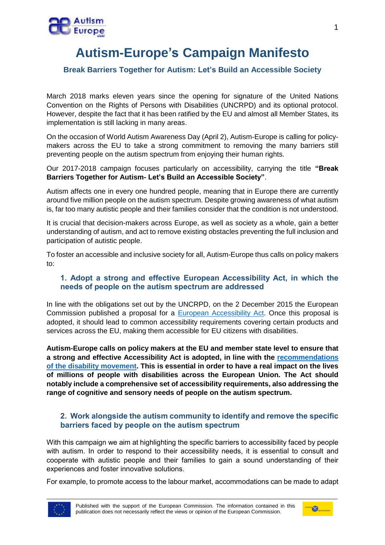

## **Autism-Europe's Campaign Manifesto**

## **Break Barriers Together for Autism: Let's Build an Accessible Society**

March 2018 marks eleven years since the opening for signature of the United Nations Convention on the Rights of Persons with Disabilities (UNCRPD) and its optional protocol. However, despite the fact that it has been ratified by the EU and almost all Member States, its implementation is still lacking in many areas.

On the occasion of World Autism Awareness Day (April 2), Autism-Europe is calling for policymakers across the EU to take a strong commitment to removing the many barriers still preventing people on the autism spectrum from enjoying their human rights.

Our 2017-2018 campaign focuses particularly on accessibility, carrying the title **"Break Barriers Together for Autism- Let's Build an Accessible Society"**.

Autism affects one in every one hundred people, meaning that in Europe there are currently around five million people on the autism spectrum. Despite growing awareness of what autism is, far too many autistic people and their families consider that the condition is not understood.

It is crucial that decision-makers across Europe, as well as society as a whole, gain a better understanding of autism, and act to remove existing obstacles preventing the full inclusion and participation of autistic people.

To foster an accessible and inclusive society for all, Autism-Europe thus calls on policy makers to:

## **1. Adopt a strong and effective European Accessibility Act, in which the needs of people on the autism spectrum are addressed**

In line with the obligations set out by the UNCRPD, on the 2 December 2015 the European Commission published a proposal for a [European Accessibility Act.](http://www.autismeurope.org/eu-advocacy/autism-europe-welcomes-the-proposed-european-accessibility-act-and-issues-its-recommendations/) Once this proposal is adopted, it should lead to common accessibility requirements covering certain products and services across the EU, making them accessible for EU citizens with disabilities.

**Autism-Europe calls on policy makers at the EU and member state level to ensure that a strong and effective Accessibility Act is adopted, in line with the [recommendations](http://www.edf-feph.org/sites/default/files/edf_initial_response_european_accessibility_act_feb_2016_-_final_0.pdf)  [of the disability movement.](http://www.edf-feph.org/sites/default/files/edf_initial_response_european_accessibility_act_feb_2016_-_final_0.pdf) This is essential in order to have a real impact on the lives of millions of people with disabilities across the European Union. The Act should notably include a comprehensive set of accessibility requirements, also addressing the range of cognitive and sensory needs of people on the autism spectrum.** 

## **2. Work alongside the autism community to identify and remove the specific barriers faced by people on the autism spectrum**

With this campaign we aim at highlighting the specific barriers to accessibility faced by people with autism. In order to respond to their accessibility needs, it is essential to consult and cooperate with autistic people and their families to gain a sound understanding of their experiences and foster innovative solutions.

For example, to promote access to the labour market, accommodations can be made to adapt